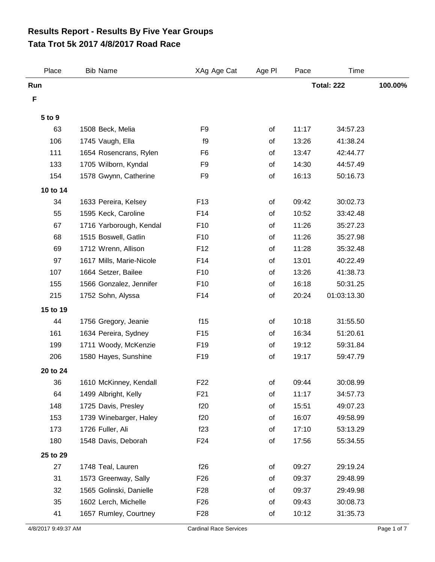## **Tata Trot 5k 2017 4/8/2017 Road Race Results Report - Results By Five Year Groups**

| Place    | <b>Bib Name</b>          | XAg Age Cat     | Age PI | Pace  | Time              |         |
|----------|--------------------------|-----------------|--------|-------|-------------------|---------|
| Run      |                          |                 |        |       | <b>Total: 222</b> | 100.00% |
| F        |                          |                 |        |       |                   |         |
| 5 to 9   |                          |                 |        |       |                   |         |
| 63       | 1508 Beck, Melia         | F <sub>9</sub>  | of     | 11:17 | 34:57.23          |         |
| 106      | 1745 Vaugh, Ella         | f9              | of     | 13:26 | 41:38.24          |         |
| 111      | 1654 Rosencrans, Rylen   | F <sub>6</sub>  | of     | 13:47 | 42:44.77          |         |
| 133      | 1705 Wilborn, Kyndal     | F <sub>9</sub>  | of     | 14:30 | 44:57.49          |         |
| 154      | 1578 Gwynn, Catherine    | F <sub>9</sub>  | of     | 16:13 | 50:16.73          |         |
| 10 to 14 |                          |                 |        |       |                   |         |
| 34       | 1633 Pereira, Kelsey     | F <sub>13</sub> | of     | 09:42 | 30:02.73          |         |
| 55       | 1595 Keck, Caroline      | F14             | of     | 10:52 | 33:42.48          |         |
| 67       | 1716 Yarborough, Kendal  | F <sub>10</sub> | of     | 11:26 | 35:27.23          |         |
| 68       | 1515 Boswell, Gatlin     | F10             | of     | 11:26 | 35:27.98          |         |
| 69       | 1712 Wrenn, Allison      | F <sub>12</sub> | of     | 11:28 | 35:32.48          |         |
| 97       | 1617 Mills, Marie-Nicole | F <sub>14</sub> | of     | 13:01 | 40:22.49          |         |
| 107      | 1664 Setzer, Bailee      | F <sub>10</sub> | of     | 13:26 | 41:38.73          |         |
| 155      | 1566 Gonzalez, Jennifer  | F10             | of     | 16:18 | 50:31.25          |         |
| 215      | 1752 Sohn, Alyssa        | F14             | of     | 20:24 | 01:03:13.30       |         |
| 15 to 19 |                          |                 |        |       |                   |         |
| 44       | 1756 Gregory, Jeanie     | f15             | of     | 10:18 | 31:55.50          |         |
| 161      | 1634 Pereira, Sydney     | F <sub>15</sub> | of     | 16:34 | 51:20.61          |         |
| 199      | 1711 Woody, McKenzie     | F <sub>19</sub> | of     | 19:12 | 59:31.84          |         |
| 206      | 1580 Hayes, Sunshine     | F <sub>19</sub> | of     | 19:17 | 59:47.79          |         |
| 20 to 24 |                          |                 |        |       |                   |         |
| 36       | 1610 McKinney, Kendall   | F <sub>22</sub> | οf     | 09:44 | 30:08.99          |         |
| 64       | 1499 Albright, Kelly     | F <sub>21</sub> | οf     | 11:17 | 34:57.73          |         |
| 148      | 1725 Davis, Presley      | f20             | of     | 15:51 | 49:07.23          |         |
| 153      | 1739 Winebarger, Haley   | f20             | of     | 16:07 | 49:58.99          |         |
| 173      | 1726 Fuller, Ali         | f23             | of     | 17:10 | 53:13.29          |         |
| 180      | 1548 Davis, Deborah      | F24             | of     | 17:56 | 55:34.55          |         |
| 25 to 29 |                          |                 |        |       |                   |         |
| 27       | 1748 Teal, Lauren        | f26             | of     | 09:27 | 29:19.24          |         |
| 31       | 1573 Greenway, Sally     | F <sub>26</sub> | of     | 09:37 | 29:48.99          |         |
| 32       | 1565 Golinski, Danielle  | F <sub>28</sub> | of     | 09:37 | 29:49.98          |         |
| 35       | 1602 Lerch, Michelle     | F <sub>26</sub> | of     | 09:43 | 30:08.73          |         |
| 41       | 1657 Rumley, Courtney    | F <sub>28</sub> | of     | 10:12 | 31:35.73          |         |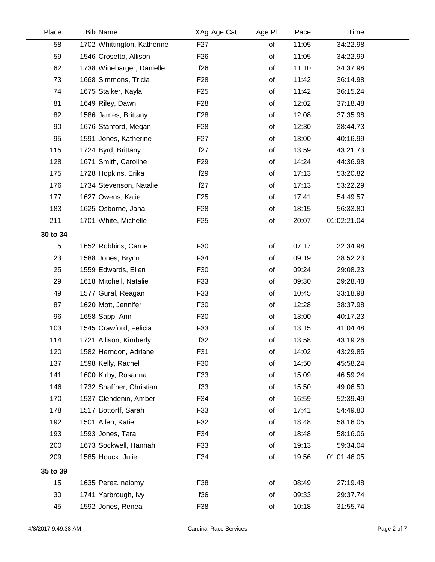| Place    | <b>Bib Name</b>             | XAg Age Cat     | Age PI | Pace  | Time        |  |
|----------|-----------------------------|-----------------|--------|-------|-------------|--|
| 58       | 1702 Whittington, Katherine | F <sub>27</sub> | of     | 11:05 | 34:22.98    |  |
| 59       | 1546 Crosetto, Allison      | F <sub>26</sub> | of     | 11:05 | 34:22.99    |  |
| 62       | 1738 Winebarger, Danielle   | f26             | of     | 11:10 | 34:37.98    |  |
| 73       | 1668 Simmons, Tricia        | F <sub>28</sub> | of     | 11:42 | 36:14.98    |  |
| 74       | 1675 Stalker, Kayla         | F <sub>25</sub> | of     | 11:42 | 36:15.24    |  |
| 81       | 1649 Riley, Dawn            | F <sub>28</sub> | of     | 12:02 | 37:18.48    |  |
| 82       | 1586 James, Brittany        | F <sub>28</sub> | of     | 12:08 | 37:35.98    |  |
| 90       | 1676 Stanford, Megan        | F <sub>28</sub> | of     | 12:30 | 38:44.73    |  |
| 95       | 1591 Jones, Katherine       | F <sub>27</sub> | of     | 13:00 | 40:16.99    |  |
| 115      | 1724 Byrd, Brittany         | f27             | of     | 13:59 | 43:21.73    |  |
| 128      | 1671 Smith, Caroline        | F <sub>29</sub> | of     | 14:24 | 44:36.98    |  |
| 175      | 1728 Hopkins, Erika         | f29             | of     | 17:13 | 53:20.82    |  |
| 176      | 1734 Stevenson, Natalie     | f27             | of     | 17:13 | 53:22.29    |  |
| 177      | 1627 Owens, Katie           | F <sub>25</sub> | of     | 17:41 | 54:49.57    |  |
| 183      | 1625 Osborne, Jana          | F <sub>28</sub> | of     | 18:15 | 56:33.80    |  |
| 211      | 1701 White, Michelle        | F <sub>25</sub> | of     | 20:07 | 01:02:21.04 |  |
| 30 to 34 |                             |                 |        |       |             |  |
| 5        | 1652 Robbins, Carrie        | F30             | of     | 07:17 | 22:34.98    |  |
| 23       | 1588 Jones, Brynn           | F34             | of     | 09:19 | 28:52.23    |  |
| 25       | 1559 Edwards, Ellen         | F30             | of     | 09:24 | 29:08.23    |  |
| 29       | 1618 Mitchell, Natalie      | F33             | of     | 09:30 | 29:28.48    |  |
| 49       | 1577 Gural, Reagan          | F33             | of     | 10:45 | 33:18.98    |  |
| 87       | 1620 Mott, Jennifer         | F30             | of     | 12:28 | 38:37.98    |  |
| 96       | 1658 Sapp, Ann              | F30             | of     | 13:00 | 40:17.23    |  |
| 103      | 1545 Crawford, Felicia      | F33             | of     | 13:15 | 41:04.48    |  |
| 114      | 1721 Allison, Kimberly      | f32             | of     | 13:58 | 43:19.26    |  |
| 120      | 1582 Herndon, Adriane       | F31             | of     | 14:02 | 43:29.85    |  |
| 137      | 1598 Kelly, Rachel          | F30             | of     | 14:50 | 45:58.24    |  |
| 141      | 1600 Kirby, Rosanna         | F33             | of     | 15:09 | 46:59.24    |  |
| 146      | 1732 Shaffner, Christian    | f33             | of     | 15:50 | 49:06.50    |  |
| 170      | 1537 Clendenin, Amber       | F34             | of     | 16:59 | 52:39.49    |  |
| 178      | 1517 Bottorff, Sarah        | F33             | of     | 17:41 | 54:49.80    |  |
| 192      | 1501 Allen, Katie           | F32             | of     | 18:48 | 58:16.05    |  |
| 193      | 1593 Jones, Tara            | F34             | of     | 18:48 | 58:16.06    |  |
| 200      | 1673 Sockwell, Hannah       | F33             | of     | 19:13 | 59:34.04    |  |
| 209      | 1585 Houck, Julie           | F34             | of     | 19:56 | 01:01:46.05 |  |
| 35 to 39 |                             |                 |        |       |             |  |
| 15       | 1635 Perez, naiomy          | F38             | of     | 08:49 | 27:19.48    |  |
| 30       | 1741 Yarbrough, Ivy         | f36             | of     | 09:33 | 29:37.74    |  |
| 45       | 1592 Jones, Renea           | F38             | of     | 10:18 | 31:55.74    |  |
|          |                             |                 |        |       |             |  |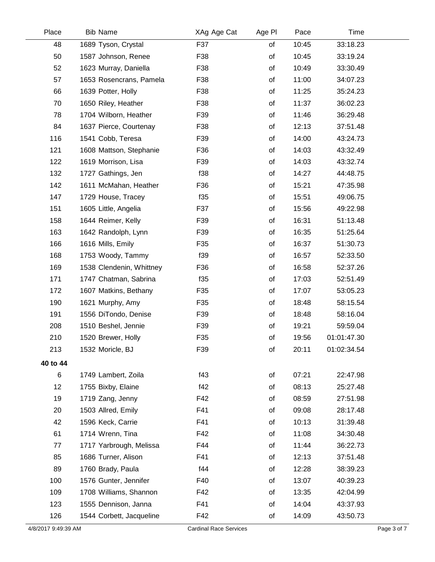| Place               | <b>Bib Name</b>          | XAg Age Cat                   | Age PI | Pace  | Time        |             |
|---------------------|--------------------------|-------------------------------|--------|-------|-------------|-------------|
| 48                  | 1689 Tyson, Crystal      | F37                           | of     | 10:45 | 33:18.23    |             |
| 50                  | 1587 Johnson, Renee      | F38                           | of     | 10:45 | 33:19.24    |             |
| 52                  | 1623 Murray, Daniella    | F38                           | of     | 10:49 | 33:30.49    |             |
| 57                  | 1653 Rosencrans, Pamela  | F38                           | of     | 11:00 | 34:07.23    |             |
| 66                  | 1639 Potter, Holly       | F38                           | of     | 11:25 | 35:24.23    |             |
| 70                  | 1650 Riley, Heather      | F38                           | of     | 11:37 | 36:02.23    |             |
| 78                  | 1704 Wilborn, Heather    | F39                           | of     | 11:46 | 36:29.48    |             |
| 84                  | 1637 Pierce, Courtenay   | F38                           | of     | 12:13 | 37:51.48    |             |
| 116                 | 1541 Cobb, Teresa        | F39                           | of     | 14:00 | 43:24.73    |             |
| 121                 | 1608 Mattson, Stephanie  | F36                           | of     | 14:03 | 43:32.49    |             |
| 122                 | 1619 Morrison, Lisa      | F39                           | of     | 14:03 | 43:32.74    |             |
| 132                 | 1727 Gathings, Jen       | f38                           | of     | 14:27 | 44:48.75    |             |
| 142                 | 1611 McMahan, Heather    | F36                           | of     | 15:21 | 47:35.98    |             |
| 147                 | 1729 House, Tracey       | f35                           | of     | 15:51 | 49:06.75    |             |
| 151                 | 1605 Little, Angelia     | F37                           | of     | 15:56 | 49:22.98    |             |
| 158                 | 1644 Reimer, Kelly       | F39                           | of     | 16:31 | 51:13.48    |             |
| 163                 | 1642 Randolph, Lynn      | F39                           | of     | 16:35 | 51:25.64    |             |
| 166                 | 1616 Mills, Emily        | F35                           | of     | 16:37 | 51:30.73    |             |
| 168                 | 1753 Woody, Tammy        | f39                           | of     | 16:57 | 52:33.50    |             |
| 169                 | 1538 Clendenin, Whittney | F36                           | of     | 16:58 | 52:37.26    |             |
| 171                 | 1747 Chatman, Sabrina    | f35                           | of     | 17:03 | 52:51.49    |             |
| 172                 | 1607 Matkins, Bethany    | F35                           | of     | 17:07 | 53:05.23    |             |
| 190                 | 1621 Murphy, Amy         | F35                           | of     | 18:48 | 58:15.54    |             |
| 191                 | 1556 DiTondo, Denise     | F39                           | of     | 18:48 | 58:16.04    |             |
| 208                 | 1510 Beshel, Jennie      | F39                           | of     | 19:21 | 59:59.04    |             |
| 210                 | 1520 Brewer, Holly       | F35                           | of     | 19:56 | 01:01:47.30 |             |
| 213                 | 1532 Moricle, BJ         | F39                           | of     | 20:11 | 01:02:34.54 |             |
| 40 to 44            |                          |                               |        |       |             |             |
| 6                   | 1749 Lambert, Zoila      | f43                           | of     | 07:21 | 22:47.98    |             |
| 12                  | 1755 Bixby, Elaine       | f42                           | of     | 08:13 | 25:27.48    |             |
| 19                  | 1719 Zang, Jenny         | F42                           | of     | 08:59 | 27:51.98    |             |
| 20                  | 1503 Allred, Emily       | F41                           | of     | 09:08 | 28:17.48    |             |
| 42                  | 1596 Keck, Carrie        | F41                           | of     | 10:13 | 31:39.48    |             |
| 61                  | 1714 Wrenn, Tina         | F42                           | of     | 11:08 | 34:30.48    |             |
| 77                  | 1717 Yarbrough, Melissa  | F44                           | of     | 11:44 | 36:22.73    |             |
| 85                  | 1686 Turner, Alison      | F41                           | of     | 12:13 | 37:51.48    |             |
| 89                  | 1760 Brady, Paula        | f44                           | of     | 12:28 | 38:39.23    |             |
| 100                 | 1576 Gunter, Jennifer    | F40                           | of     | 13:07 | 40:39.23    |             |
| 109                 | 1708 Williams, Shannon   | F42                           | of     | 13:35 | 42:04.99    |             |
| 123                 | 1555 Dennison, Janna     | F41                           | of     | 14:04 | 43:37.93    |             |
| 126                 | 1544 Corbett, Jacqueline | F42                           | of     | 14:09 | 43:50.73    |             |
| 4/8/2017 9:49:39 AM |                          | <b>Cardinal Race Services</b> |        |       |             | Page 3 of 7 |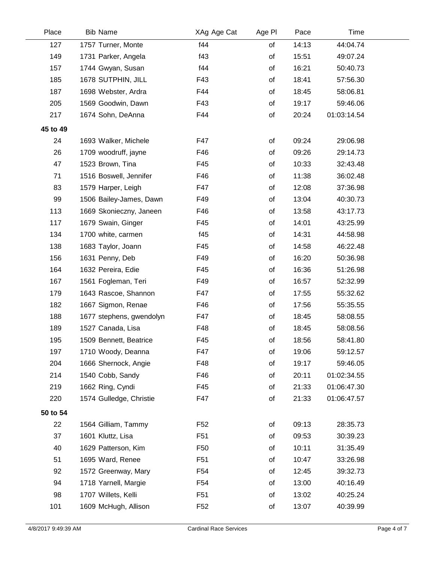| Place    | <b>Bib Name</b>          | XAg Age Cat     | Age PI | Pace  | Time        |  |
|----------|--------------------------|-----------------|--------|-------|-------------|--|
| 127      | 1757 Turner, Monte       | f44             | of     | 14:13 | 44:04.74    |  |
| 149      | 1731 Parker, Angela      | f43             | of     | 15:51 | 49:07.24    |  |
| 157      | 1744 Gwyan, Susan        | f44             | of     | 16:21 | 50:40.73    |  |
| 185      | 1678 SUTPHIN, JILL       | F43             | of     | 18:41 | 57:56.30    |  |
| 187      | 1698 Webster, Ardra      | F44             | of     | 18:45 | 58:06.81    |  |
| 205      | 1569 Goodwin, Dawn       | F43             | of     | 19:17 | 59:46.06    |  |
| 217      | 1674 Sohn, DeAnna        | F44             | of     | 20:24 | 01:03:14.54 |  |
| 45 to 49 |                          |                 |        |       |             |  |
| 24       | 1693 Walker, Michele     | F47             | of     | 09:24 | 29:06.98    |  |
| 26       | 1709 woodruff, jayne     | F46             | of     | 09:26 | 29:14.73    |  |
| 47       | 1523 Brown, Tina         | F45             | of     | 10:33 | 32:43.48    |  |
| 71       | 1516 Boswell, Jennifer   | F46             | of     | 11:38 | 36:02.48    |  |
| 83       | 1579 Harper, Leigh       | F47             | of     | 12:08 | 37:36.98    |  |
| 99       | 1506 Bailey-James, Dawn  | F49             | of     | 13:04 | 40:30.73    |  |
| 113      | 1669 Skonieczny, Janeen  | F46             | of     | 13:58 | 43:17.73    |  |
| 117      | 1679 Swain, Ginger       | F45             | of     | 14:01 | 43:25.99    |  |
| 134      | 1700 white, carmen       | f45             | of     | 14:31 | 44:58.98    |  |
| 138      | 1683 Taylor, Joann       | F45             | of     | 14:58 | 46:22.48    |  |
| 156      | 1631 Penny, Deb          | F49             | of     | 16:20 | 50:36.98    |  |
| 164      | 1632 Pereira, Edie       | F45             | of     | 16:36 | 51:26.98    |  |
| 167      | 1561 Fogleman, Teri      | F49             | of     | 16:57 | 52:32.99    |  |
| 179      | 1643 Rascoe, Shannon     | F47             | of     | 17:55 | 55:32.62    |  |
| 182      | 1667 Sigmon, Renae       | F46             | of     | 17:56 | 55:35.55    |  |
| 188      | 1677 stephens, gwendolyn | F47             | of     | 18:45 | 58:08.55    |  |
| 189      | 1527 Canada, Lisa        | F48             | of     | 18:45 | 58:08.56    |  |
| 195      | 1509 Bennett, Beatrice   | F45             | of     | 18:56 | 58:41.80    |  |
| 197      | 1710 Woody, Deanna       | F47             | of     | 19:06 | 59:12.57    |  |
| 204      | 1666 Shernock, Angie     | F48             | of     | 19:17 | 59:46.05    |  |
| 214      | 1540 Cobb, Sandy         | F46             | of     | 20:11 | 01:02:34.55 |  |
| 219      | 1662 Ring, Cyndi         | F45             | of     | 21:33 | 01:06:47.30 |  |
| 220      | 1574 Gulledge, Christie  | F47             | of     | 21:33 | 01:06:47.57 |  |
| 50 to 54 |                          |                 |        |       |             |  |
| 22       | 1564 Gilliam, Tammy      | F <sub>52</sub> | of     | 09:13 | 28:35.73    |  |
| 37       | 1601 Kluttz, Lisa        | F <sub>51</sub> | of     | 09:53 | 30:39.23    |  |
| 40       | 1629 Patterson, Kim      | F <sub>50</sub> | of     | 10:11 | 31:35.49    |  |
| 51       | 1695 Ward, Renee         | F <sub>51</sub> | of     | 10:47 | 33:26.98    |  |
| 92       | 1572 Greenway, Mary      | F54             | of     | 12:45 | 39:32.73    |  |
| 94       | 1718 Yarnell, Margie     | F <sub>54</sub> | of     | 13:00 | 40:16.49    |  |
| 98       | 1707 Willets, Kelli      | F <sub>51</sub> | of     | 13:02 | 40:25.24    |  |
| 101      | 1609 McHugh, Allison     | F <sub>52</sub> | of     | 13:07 | 40:39.99    |  |
|          |                          |                 |        |       |             |  |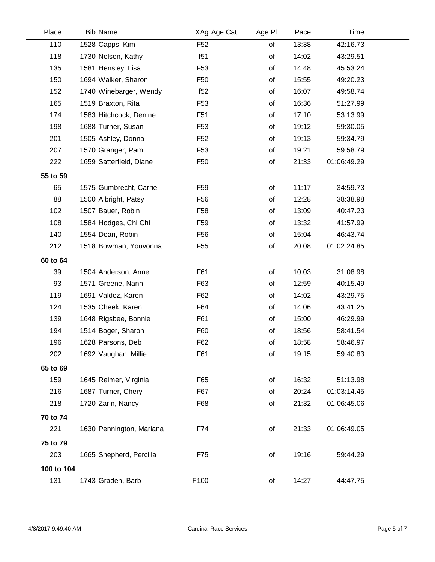| Place      | <b>Bib Name</b>          | XAg Age Cat     | Age PI | Pace  | Time        |  |
|------------|--------------------------|-----------------|--------|-------|-------------|--|
| 110        | 1528 Capps, Kim          | F <sub>52</sub> | of     | 13:38 | 42:16.73    |  |
| 118        | 1730 Nelson, Kathy       | f51             | of     | 14:02 | 43:29.51    |  |
| 135        | 1581 Hensley, Lisa       | F <sub>53</sub> | of     | 14:48 | 45:53.24    |  |
| 150        | 1694 Walker, Sharon      | F <sub>50</sub> | of     | 15:55 | 49:20.23    |  |
| 152        | 1740 Winebarger, Wendy   | f52             | of     | 16:07 | 49:58.74    |  |
| 165        | 1519 Braxton, Rita       | F <sub>53</sub> | of     | 16:36 | 51:27.99    |  |
| 174        | 1583 Hitchcock, Denine   | F <sub>51</sub> | of     | 17:10 | 53:13.99    |  |
| 198        | 1688 Turner, Susan       | F <sub>53</sub> | of     | 19:12 | 59:30.05    |  |
| 201        | 1505 Ashley, Donna       | F52             | of     | 19:13 | 59:34.79    |  |
| 207        | 1570 Granger, Pam        | F <sub>53</sub> | of     | 19:21 | 59:58.79    |  |
| 222        | 1659 Satterfield, Diane  | F <sub>50</sub> | of     | 21:33 | 01:06:49.29 |  |
| 55 to 59   |                          |                 |        |       |             |  |
| 65         | 1575 Gumbrecht, Carrie   | F <sub>59</sub> | of     | 11:17 | 34:59.73    |  |
| 88         | 1500 Albright, Patsy     | F <sub>56</sub> | of     | 12:28 | 38:38.98    |  |
| 102        | 1507 Bauer, Robin        | F <sub>58</sub> | of     | 13:09 | 40:47.23    |  |
| 108        | 1584 Hodges, Chi Chi     | F <sub>59</sub> | of     | 13:32 | 41:57.99    |  |
| 140        | 1554 Dean, Robin         | F <sub>56</sub> | of     | 15:04 | 46:43.74    |  |
| 212        | 1518 Bowman, Youvonna    | F <sub>55</sub> | of     | 20:08 | 01:02:24.85 |  |
| 60 to 64   |                          |                 |        |       |             |  |
| 39         | 1504 Anderson, Anne      | F61             | of     | 10:03 | 31:08.98    |  |
| 93         | 1571 Greene, Nann        | F63             | of     | 12:59 | 40:15.49    |  |
| 119        | 1691 Valdez, Karen       | F62             | of     | 14:02 | 43:29.75    |  |
| 124        | 1535 Cheek, Karen        | F64             | of     | 14:06 | 43:41.25    |  |
| 139        | 1648 Rigsbee, Bonnie     | F61             | of     | 15:00 | 46:29.99    |  |
| 194        | 1514 Boger, Sharon       | F60             | of     | 18:56 | 58:41.54    |  |
| 196        | 1628 Parsons, Deb        | F62             | of     | 18:58 | 58:46.97    |  |
| 202        | 1692 Vaughan, Millie     | F61             | of     | 19:15 | 59:40.83    |  |
| 65 to 69   |                          |                 |        |       |             |  |
| 159        | 1645 Reimer, Virginia    | F65             | of     | 16:32 | 51:13.98    |  |
| 216        | 1687 Turner, Cheryl      | F67             | οf     | 20:24 | 01:03:14.45 |  |
| 218        | 1720 Zarin, Nancy        | F68             | of     | 21:32 | 01:06:45.06 |  |
| 70 to 74   |                          |                 |        |       |             |  |
| 221        | 1630 Pennington, Mariana | F74             | of     | 21:33 | 01:06:49.05 |  |
|            |                          |                 |        |       |             |  |
| 75 to 79   |                          |                 |        |       |             |  |
| 203        | 1665 Shepherd, Percilla  | F75             | of     | 19:16 | 59:44.29    |  |
| 100 to 104 |                          |                 |        |       |             |  |
| 131        | 1743 Graden, Barb        | F100            | of     | 14:27 | 44:47.75    |  |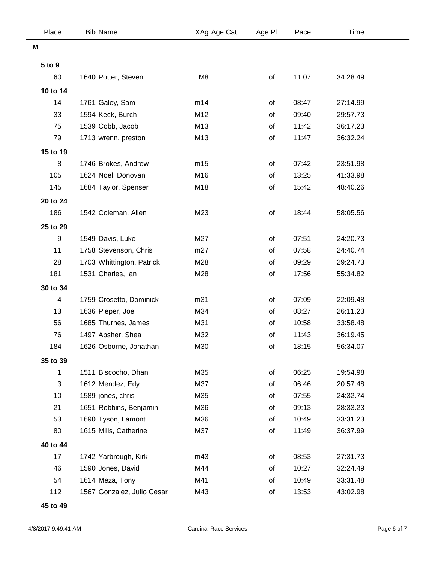| Place    | <b>Bib Name</b>            | XAg Age Cat    | Age PI | Pace  | Time     |  |
|----------|----------------------------|----------------|--------|-------|----------|--|
| M        |                            |                |        |       |          |  |
| 5 to 9   |                            |                |        |       |          |  |
| 60       | 1640 Potter, Steven        | M <sub>8</sub> | of     | 11:07 | 34:28.49 |  |
| 10 to 14 |                            |                |        |       |          |  |
| 14       | 1761 Galey, Sam            | m14            | of     | 08:47 | 27:14.99 |  |
| 33       | 1594 Keck, Burch           | M12            | of     | 09:40 | 29:57.73 |  |
| 75       | 1539 Cobb, Jacob           | M13            | of     | 11:42 | 36:17.23 |  |
| 79       | 1713 wrenn, preston        | M13            | of     | 11:47 | 36:32.24 |  |
| 15 to 19 |                            |                |        |       |          |  |
| 8        | 1746 Brokes, Andrew        | m15            | of     | 07:42 | 23:51.98 |  |
| 105      | 1624 Noel, Donovan         | M16            | of     | 13:25 | 41:33.98 |  |
| 145      | 1684 Taylor, Spenser       | M18            | of     | 15:42 | 48:40.26 |  |
| 20 to 24 |                            |                |        |       |          |  |
| 186      | 1542 Coleman, Allen        | M23            | of     | 18:44 | 58:05.56 |  |
| 25 to 29 |                            |                |        |       |          |  |
| 9        | 1549 Davis, Luke           | M27            | of     | 07:51 | 24:20.73 |  |
| 11       | 1758 Stevenson, Chris      | m27            | of     | 07:58 | 24:40.74 |  |
| 28       | 1703 Whittington, Patrick  | M28            | of     | 09:29 | 29:24.73 |  |
| 181      | 1531 Charles, lan          | M28            | of     | 17:56 | 55:34.82 |  |
| 30 to 34 |                            |                |        |       |          |  |
| 4        | 1759 Crosetto, Dominick    | m31            | of     | 07:09 | 22:09.48 |  |
| 13       | 1636 Pieper, Joe           | M34            | of     | 08:27 | 26:11.23 |  |
| 56       | 1685 Thurnes, James        | M31            | of     | 10:58 | 33:58.48 |  |
| 76       | 1497 Absher, Shea          | M32            | of     | 11:43 | 36:19.45 |  |
| 184      | 1626 Osborne, Jonathan     | M30            | of     | 18:15 | 56:34.07 |  |
| 35 to 39 |                            |                |        |       |          |  |
| 1        | 1511 Biscocho, Dhani       | M35            | of     | 06:25 | 19:54.98 |  |
| 3        | 1612 Mendez, Edy           | M37            | of     | 06:46 | 20:57.48 |  |
| 10       | 1589 jones, chris          | M35            | of     | 07:55 | 24:32.74 |  |
| 21       | 1651 Robbins, Benjamin     | M36            | of     | 09:13 | 28:33.23 |  |
| 53       | 1690 Tyson, Lamont         | M36            | of     | 10:49 | 33:31.23 |  |
| 80       | 1615 Mills, Catherine      | M37            | of     | 11:49 | 36:37.99 |  |
| 40 to 44 |                            |                |        |       |          |  |
| 17       | 1742 Yarbrough, Kirk       | m43            | of     | 08:53 | 27:31.73 |  |
| 46       | 1590 Jones, David          | M44            | of     | 10:27 | 32:24.49 |  |
| 54       | 1614 Meza, Tony            | M41            | of     | 10:49 | 33:31.48 |  |
| 112      | 1567 Gonzalez, Julio Cesar | M43            | of     | 13:53 | 43:02.98 |  |

**45 to 49**